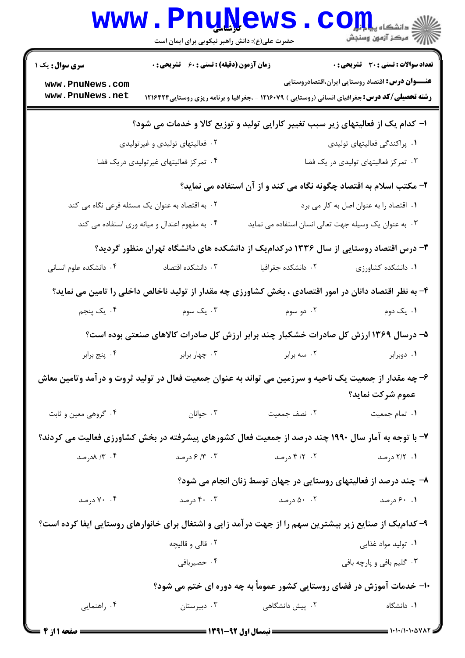|                                                                                                                           | <b>WWW.PNUWEWS</b><br>حضرت علی(ع): دانش راهبر نیکویی برای ایمان است |                                                                                                       | COLL S                                                  |  |  |
|---------------------------------------------------------------------------------------------------------------------------|---------------------------------------------------------------------|-------------------------------------------------------------------------------------------------------|---------------------------------------------------------|--|--|
| <b>سری سوال :</b> یک ۱                                                                                                    | زمان آزمون (دقیقه) : تستی : 60 ٪ تشریحی : 0                         |                                                                                                       | <b>تعداد سوالات : تستی : 30 ٪ تشریحی : 0</b>            |  |  |
| www.PnuNews.com<br>www.PnuNews.net                                                                                        |                                                                     | <b>رشته تحصیلی/کد درس:</b> جغرافیای انسانی (روستایی ) ۱۲۱۶۰۷۹ - ،جغرافیا و برنامه ریزی روستایی۱۲۱۶۴۲۴ | <b>عنـــوان درس:</b> اقتصاد روستایی ایران،اقتصادروستایی |  |  |
| ا- کدام یک از فعالیتهای زیر سبب تغییر کارایی تولید و توزیع کالا و خدمات می شود؟                                           |                                                                     |                                                                                                       |                                                         |  |  |
|                                                                                                                           | ۰۲ فعالیتهای تولیدی و غیر تولیدی                                    |                                                                                                       | ۰۱ پراکندگی فعالیتهای تولیدی                            |  |  |
|                                                                                                                           | ۰۴ تمرکز فعالیتهای غیرتولیدی دریک فضا                               |                                                                                                       | ۰۳ تمرکز فعالیتهای تولیدی در یک فضا                     |  |  |
| ۲- مکتب اسلام به اقتصاد چگونه نگاه می کند و از آن استفاده می نماید؟                                                       |                                                                     |                                                                                                       |                                                         |  |  |
|                                                                                                                           | ۲. به اقتصاد به عنوان یک مسئله فرعی نگاه می کند                     |                                                                                                       | ٠١ اقتصاد را به عنوان اصل به كار مي برد                 |  |  |
|                                                                                                                           | ۰۴ به مفهوم اعتدال و میانه وری استفاده می کند                       | ۰۳ به عنوان یک وسیله جهت تعالی انسان استفاده می نماید                                                 |                                                         |  |  |
| ۳- درس اقتصاد روستایی از سال ۱۳۳۶ در کدامیک از دانشکده های دانشگاه تهران منظور گردید؟                                     |                                                                     |                                                                                                       |                                                         |  |  |
| ۰۴ دانشکده علوم انسانی                                                                                                    | ۰۳ دانشکده اقتصاد                                                   | ۰۲ دانشکده جغرافیا                                                                                    | ٠١ دانشكده كشاورزى                                      |  |  |
| ۴- به نظر اقتصاد دانان در امور اقتصادی ، بخش کشاورزی چه مقدار از تولید ناخالص داخلی را تامین می نماید؟                    |                                                                     |                                                                                                       |                                                         |  |  |
| ۰۴ يک پنجم                                                                                                                | ۰۳ یک سوم                                                           | ۰۲ دو سوم                                                                                             | ۰۱ یک دوم                                               |  |  |
|                                                                                                                           |                                                                     | ۵– درسال ۱۳۶۹ ارزش کل صادرات خشکبار چند برابر ارزش کل صادرات کالاهای صنعتی بوده است؟                  |                                                         |  |  |
| ۰۴ پنج برابر                                                                                                              | ۰۳ چهار برابر                                                       | ۰۲ سه برابر                                                                                           | ۰۱ دوبرابر                                              |  |  |
| ۶– چه مقدار از جمعیت یک ناحیه و سرزمین می تواند به عنوان جمعیت فعال در تولید ثروت و درآمد وتامین معاش<br>عموم شركت نمايد؟ |                                                                     |                                                                                                       |                                                         |  |  |
| ۰۴ گروهي معين و ثابت                                                                                                      | ۰۳ جوانان                                                           | ٠٢ نصف جمعيت                                                                                          | ٠١ تمام جمعيت                                           |  |  |
|                                                                                                                           |                                                                     | ۷- با توجه به آمار سال ۱۹۹۰ چند درصد از جمعیت فعال کشورهای پیشرفته در بخش کشاورزی فعالیت می کردند؟    |                                                         |  |  |
| ۰۴ ۱۳ ۸درصد                                                                                                               |                                                                     | ۲. ۲/ ۴ درصد مسلم ۲. ۳/ ۶ درصد                                                                        | ۰۱ ۲/۲ درصد                                             |  |  |
|                                                                                                                           |                                                                     | ۸– چند درصد از فعالیتهای روستایی در جهان توسط زنان انجام می شود؟                                      |                                                         |  |  |
| ۰۴ درصد                                                                                                                   | ۴۰ . ۴۰ درصد                                                        | ۹. ۶۰ درصد <b>۴۰۰</b> - ۵۰ درصد                                                                       |                                                         |  |  |
| ۹– کدامیک از صنایع زیر بیشترین سهم را از جهت درآمد زایی و اشتغال برای خانوارهای روستایی ایفا کرده است؟                    |                                                                     |                                                                                                       |                                                         |  |  |
|                                                                                                                           | ۰۲ قالی و قالیچه                                                    |                                                                                                       | ۰۱ تولید مواد غذایی                                     |  |  |
|                                                                                                                           | ۰۴ حصيربافي                                                         |                                                                                                       | ۰۳ گلیم بافی و پارچه بافی                               |  |  |
| +۱- خدمات آموزش در فضای روستایی کشور عموماً به چه دوره ای ختم می شود؟                                                     |                                                                     |                                                                                                       |                                                         |  |  |
| ۰۴ راهنمایی                                                                                                               | ۰۳ دبیرستان                                                         | ۰۲ پیش دانشگاهی                                                                                       | ٠١. دانشگاه                                             |  |  |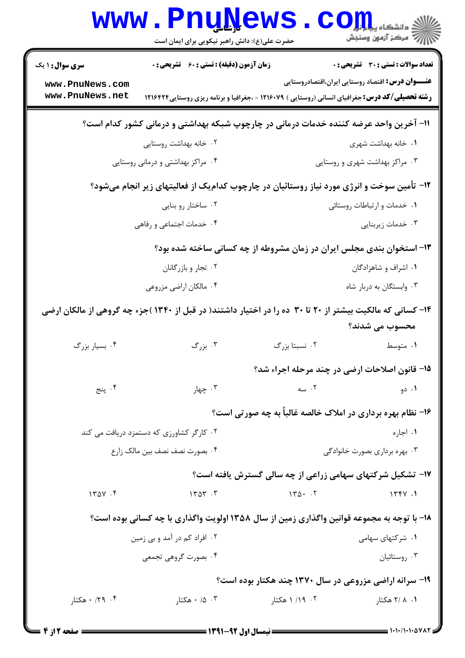|                                                                                            | <b>www.PnuNews</b><br>حضرت علی(ع): دانش راهبر نیکویی برای ایمان است                                      |                | ≦ دانشکاه پ <b>یا ب<sup>ا</sup> با<mark>ر</mark></b><br>ے<br>اسکر آزمون وسنجش |  |
|--------------------------------------------------------------------------------------------|----------------------------------------------------------------------------------------------------------|----------------|-------------------------------------------------------------------------------|--|
| <b>سری سوال : ۱ یک</b>                                                                     | <b>زمان آزمون (دقیقه) : تستی : 60 ٪ تشریحی : 0</b>                                                       |                | تعداد سوالات : تستى : 30 ٪ تشريحي : 0                                         |  |
| www.PnuNews.com                                                                            |                                                                                                          |                | <b>عنـــوان درس:</b> اقتصاد روستایی ایران،اقتصادروستایی                       |  |
| www.PnuNews.net                                                                            | <b>رشته تحصیلی/کد درس:</b> جغرافیای انسانی (روستایی ) ۱۲۱۶۰۷۹ - ،جغرافیا و برنامه ریزی روستایی۱۲۱۶۴۲۴    |                |                                                                               |  |
| 1۱- آخرین واحد عرضه کننده خدمات درمانی در چارچوپ شبکه بهداشتی و درمانی کشور کدام است؟      |                                                                                                          |                |                                                                               |  |
|                                                                                            | ۰۲ خانه بهداشت روستایی                                                                                   |                | ۰۱ خانه بهداشت شهری                                                           |  |
|                                                                                            | ۰۴ مراکز بهداشتی و درمانی روستایی                                                                        |                | ۰۳ مراکز بهداشت شهری و روستایی                                                |  |
|                                                                                            | ۱۲- تأمین سوخت و انرژی مورد نیاز روستائیان در چارچوب کدامیک از فعالیتهای زیر انجام میشود؟                |                |                                                                               |  |
|                                                                                            | ۰۲ ساختار رو بنایی                                                                                       |                | ٠١ خدمات و ارتباطات روستائي                                                   |  |
|                                                                                            | ۰۴ خدمات اجتماعی و رفاهی                                                                                 |                | ۰۳ خدمات زیربنایی                                                             |  |
| ۱۳- استخوان بندی مجلس ایران در زمان مشروطه از چه کسانی ساخته شده بود؟                      |                                                                                                          |                |                                                                               |  |
|                                                                                            | ۰۲ تجار و بازرگانان                                                                                      |                | ۰۱ اشراف و شاهزادگان                                                          |  |
|                                                                                            | ۰۴ مالکان اراضی مزروعی                                                                                   |                | ۰۳ وابستگان به دربار شاه                                                      |  |
|                                                                                            | ۱۴– کسانی که مالکیت بیشتر از ۲۰ تا ۳۰ ده را در اختیار داشتند( در قبل از ۱۳۴۰)جزء چه گروهی از مالکان ارضی |                |                                                                               |  |
|                                                                                            |                                                                                                          |                | محسوب مي شدند؟                                                                |  |
| ۰۴ بسیار بزرگ                                                                              | ۰۳ بزرگ                                                                                                  | ۰۲ نسبتا بزرگ  | ۰۱ متوسط                                                                      |  |
|                                                                                            |                                                                                                          |                | ۰۱۵ قانون اصلاحات ارضی در چند مرحله اجراء شد؟                                 |  |
| ۰۴ پنج                                                                                     | ۰۳ چهار                                                                                                  | ۰۲ سه          | ۰۱ دو                                                                         |  |
|                                                                                            |                                                                                                          |                | ۱۶- نظام بهره برداری در املاک خالصه غالباً به چه صورتی است؟                   |  |
|                                                                                            | ۰۲ کارگر کشاورزی که دستمزد دریافت می کند                                                                 |                | ۰۱ اجاره                                                                      |  |
|                                                                                            | ۰۴ بصورت نصف نصف بین مالک زارع                                                                           |                | ۰۳ بهره برداری بصورت خانوادگی                                                 |  |
|                                                                                            |                                                                                                          |                | ۱۷- تشکیل شرکتهای سهامی زراعی از چه سالی گسترش یافته است؟                     |  |
| 1401.5                                                                                     | 1404.7                                                                                                   | $140 \cdot 17$ | 1774.1                                                                        |  |
| ۱۸- با توجه به مجموعه قوانین واگذاری زمین از سال ۱۳۵۸ اولویت واگذاری با چه کسانی بوده است؟ |                                                                                                          |                |                                                                               |  |
|                                                                                            | ۰۲ افراد کم در آمد و بی زمین                                                                             |                | ۰۱ شرکتهای سهامی                                                              |  |
|                                                                                            | ۰۴ بصورت گروهی تجمعی                                                                                     |                | ۰۳ روستائيان                                                                  |  |
| ۱۹- سرانه اراضی مزروعی در سال ۱۳۷۰ چند هکتار بوده است؟                                     |                                                                                                          |                |                                                                               |  |
| ۰٫۴ ۱۲۹ هکتار                                                                              | ۰ ۵، ۰ هکتار                                                                                             | ۰۲ ۱/۱۹ هکتار  | ۰۱ ، ۲ / ۲ هکتار                                                              |  |
|                                                                                            |                                                                                                          |                |                                                                               |  |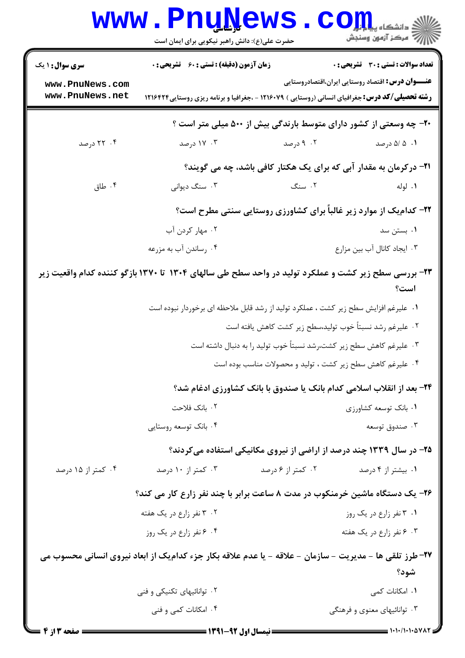|                                                                                                                 | <b>WWW.PNUNEWS</b><br>حضرت علی(ع): دانش راهبر نیکویی برای ایمان است                                    |                   | $\mathbf{C}\mathbf{O}\mathbf{H}$ و دانشکاه پیا $\mathbf{S}$<br>رآ - مرڪز آزمون وسنڊش |  |  |
|-----------------------------------------------------------------------------------------------------------------|--------------------------------------------------------------------------------------------------------|-------------------|--------------------------------------------------------------------------------------|--|--|
| <b>سری سوال : ۱ یک</b>                                                                                          | <b>زمان آزمون (دقیقه) : تستی : 60 ٪ تشریحی : 0</b>                                                     |                   | تعداد سوالات : تستى : 30 ٪ تشريحي : 0                                                |  |  |
| www.PnuNews.com<br>www.PnuNews.net                                                                              | <b>رشته تحصیلی/کد درس:</b> جغرافیای انسانی (روستایی ) ۱۲۱۶۰۷۹ - ،جغرافیا و برنامه ریزی روستایی ۱۲۱۶۴۲۴ |                   | <b>عنـــوان درس:</b> اقتصاد روستایی ایران،اقتصادروستایی                              |  |  |
| +۲- چه وسعتی از کشور دارای متوسط بارندگی بیش از ۵۰۰ میلی متر است ؟                                              |                                                                                                        |                   |                                                                                      |  |  |
| ۰۴ درصد                                                                                                         | ۰۳ درصد                                                                                                | ۰۲ درصد           | ۰۱ ۵/ ۵/ درصد                                                                        |  |  |
|                                                                                                                 |                                                                                                        |                   | <b>۲۱</b> - در کرمان به مقدار آبی که برای یک هکتار کافی باشد، چه می گویند؟           |  |  |
| ۰۴ طاق                                                                                                          | ۰۳ سنگ دیوانی                                                                                          | ۲. سنگ            | ۰۱ لوله                                                                              |  |  |
|                                                                                                                 | <b>۲۲- کدام یک از موارد زیر غالباً برای کشاورزی روستایی سنتی مطرح است؟</b>                             |                   |                                                                                      |  |  |
|                                                                                                                 | ۰۲ مهار کردن آب                                                                                        |                   | ۰۱ بستن سد                                                                           |  |  |
|                                                                                                                 | ۰۴ رساندن آب به مزرعه                                                                                  |                   | ۰۳ ایجاد کانال آب بین مزارع                                                          |  |  |
| ۲۳- بررسی سطح زیر کشت و عملکرد تولید در واحد سطح طی سالهای ۱۳۰۴ تا ۱۳۷۰ بازگو کننده کدام واقعیت زیر<br>است؟     |                                                                                                        |                   |                                                                                      |  |  |
|                                                                                                                 | ۰۱ علیرغم افزایش سطح زیر کشت ، عملکرد تولید از رشد قابل ملاحظه ای برخوردار نبوده است                   |                   |                                                                                      |  |  |
|                                                                                                                 | ۰۲ علیرغم رشد نسبتاً خوب تولید،سطح زیر کشت کاهش یافته است                                              |                   |                                                                                      |  |  |
|                                                                                                                 | ۰۳ علیرغم کاهش سطح زیر کشت،رشد نسبتاً خوب تولید را به دنبال داشته است                                  |                   |                                                                                      |  |  |
|                                                                                                                 | ۰۴ علیرغم کاهش سطح زیر کشت ، تولید و محصولات مناسب بوده است                                            |                   |                                                                                      |  |  |
|                                                                                                                 | ۲۴- بعد از انقلاب اسلامی کدام بانک یا صندوق با بانک کشاورزی ادغام شد؟                                  |                   |                                                                                      |  |  |
|                                                                                                                 | ۰۲ بانک فلاحت                                                                                          |                   | ۰۱ بانک توسعه کشاورزی                                                                |  |  |
|                                                                                                                 | ۰۴ بانک توسعه روستایی                                                                                  |                   | ۰۳ صندوق توسعه                                                                       |  |  |
|                                                                                                                 | ۲۵- در سال ۱۳۳۹ چند درصد از اراضی از نیروی مکانیکی استفاده میکردند؟                                    |                   |                                                                                      |  |  |
| ۰۴ کمتر از ۱۵ درصد                                                                                              | ۰۳ کمتر از ۱۰ درصد                                                                                     | ۰۲ کمتر از ۶ درصد | ۰۱ بیشتر از ۴ درصد                                                                   |  |  |
|                                                                                                                 | ۲۶- یک دستگاه ماشین خرمنکوب در مدت ۸ ساعت برابر با چند نفر زارع کار می کند؟                            |                   |                                                                                      |  |  |
|                                                                                                                 | ۰۲ تفر زارع در یک هفته                                                                                 |                   | ۰۱ ۳ نفر زارع در یک روز                                                              |  |  |
|                                                                                                                 | ۰۴ نفر زارع در یک روز                                                                                  |                   | ۰۳ تفر زارع در یک هفته                                                               |  |  |
| ۲۷- طرز تلقی ها - مدیریت - سازمان - علاقه - یا عدم علاقه بکار جزء کدامیک از ابعاد نیروی انسانی محسوب می<br>شود؟ |                                                                                                        |                   |                                                                                      |  |  |
|                                                                                                                 | ۰۲ توانائیهای تکنیکی و فنی                                                                             |                   | ٠١. امكانات كمى                                                                      |  |  |
|                                                                                                                 | ۰۴ امکانات کمی و فنی                                                                                   |                   | ۰۳ توانائیهای معنوی و فرهنگی                                                         |  |  |
|                                                                                                                 |                                                                                                        |                   |                                                                                      |  |  |